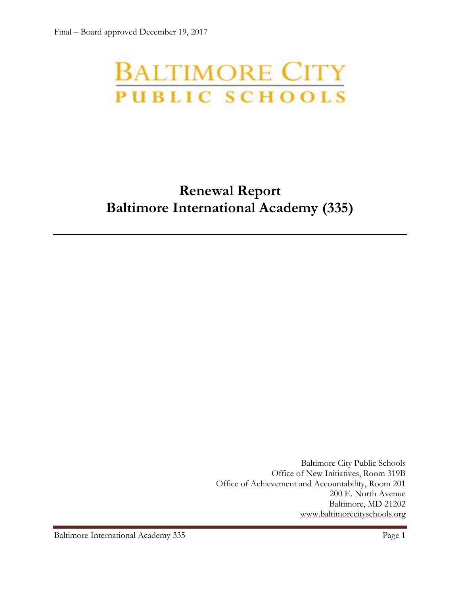# **BALTIMORE CITY**<br>PUBLIC SCHOOLS

## **Renewal Report Baltimore International Academy (335)**

Baltimore City Public Schools Office of New Initiatives, Room 319B Office of Achievement and Accountability, Room 201 200 E. North Avenue Baltimore, MD 21202 [www.baltimorecityschools.org](http://www.baltimorecityschools.org/)

Baltimore International Academy 335 Page 1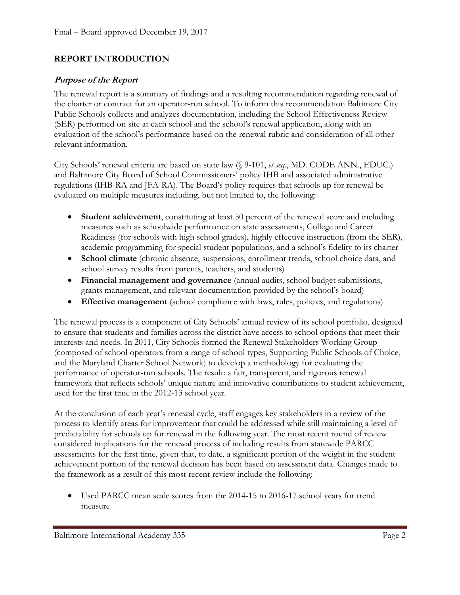#### **REPORT INTRODUCTION**

#### **Purpose of the Report**

The renewal report is a summary of findings and a resulting recommendation regarding renewal of the charter or contract for an operator-run school. To inform this recommendation Baltimore City Public Schools collects and analyzes documentation, including the School Effectiveness Review (SER) performed on site at each school and the school's renewal application, along with an evaluation of the school's performance based on the renewal rubric and consideration of all other relevant information.

City Schools' renewal criteria are based on state law (§ 9-101, *et seq*., MD. CODE ANN., EDUC.) and Baltimore City Board of School Commissioners' policy IHB and associated administrative regulations (IHB-RA and JFA-RA). The Board's policy requires that schools up for renewal be evaluated on multiple measures including, but not limited to, the following:

- **Student achievement**, constituting at least 50 percent of the renewal score and including measures such as schoolwide performance on state assessments, College and Career Readiness (for schools with high school grades), highly effective instruction (from the SER), academic programming for special student populations, and a school's fidelity to its charter
- **School climate** (chronic absence, suspensions, enrollment trends, school choice data, and school survey results from parents, teachers, and students)
- **Financial management and governance** (annual audits, school budget submissions, grants management, and relevant documentation provided by the school's board)
- **Effective management** (school compliance with laws, rules, policies, and regulations)

The renewal process is a component of City Schools' annual review of its school portfolio, designed to ensure that students and families across the district have access to school options that meet their interests and needs. In 2011, City Schools formed the Renewal Stakeholders Working Group (composed of school operators from a range of school types, Supporting Public Schools of Choice, and the Maryland Charter School Network) to develop a methodology for evaluating the performance of operator-run schools. The result: a fair, transparent, and rigorous renewal framework that reflects schools' unique nature and innovative contributions to student achievement, used for the first time in the 2012-13 school year.

At the conclusion of each year's renewal cycle, staff engages key stakeholders in a review of the process to identify areas for improvement that could be addressed while still maintaining a level of predictability for schools up for renewal in the following year. The most recent round of review considered implications for the renewal process of including results from statewide PARCC assessments for the first time, given that, to date, a significant portion of the weight in the student achievement portion of the renewal decision has been based on assessment data. Changes made to the framework as a result of this most recent review include the following:

 Used PARCC mean scale scores from the 2014-15 to 2016-17 school years for trend measure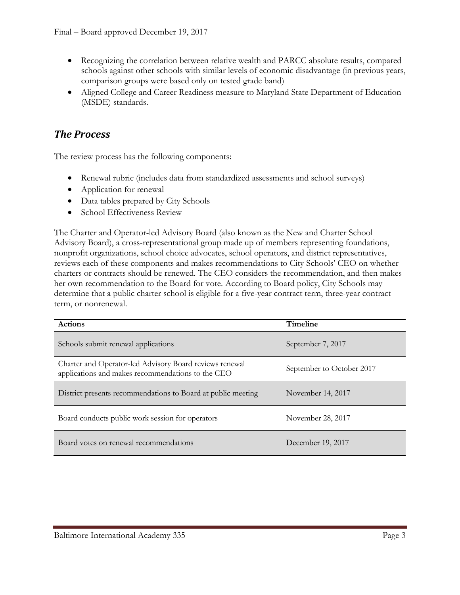- Recognizing the correlation between relative wealth and PARCC absolute results, compared schools against other schools with similar levels of economic disadvantage (in previous years, comparison groups were based only on tested grade band)
- Aligned College and Career Readiness measure to Maryland State Department of Education (MSDE) standards.

#### *The Process*

The review process has the following components:

- Renewal rubric (includes data from standardized assessments and school surveys)
- Application for renewal
- Data tables prepared by City Schools
- School Effectiveness Review

The Charter and Operator-led Advisory Board (also known as the New and Charter School Advisory Board), a cross-representational group made up of members representing foundations, nonprofit organizations, school choice advocates, school operators, and district representatives, reviews each of these components and makes recommendations to City Schools' CEO on whether charters or contracts should be renewed. The CEO considers the recommendation, and then makes her own recommendation to the Board for vote. According to Board policy, City Schools may determine that a public charter school is eligible for a five-year contract term, three-year contract term, or nonrenewal.

| <b>Actions</b>                                                                                               | Timeline                  |
|--------------------------------------------------------------------------------------------------------------|---------------------------|
| Schools submit renewal applications                                                                          | September 7, 2017         |
| Charter and Operator-led Advisory Board reviews renewal<br>applications and makes recommendations to the CEO | September to October 2017 |
| District presents recommendations to Board at public meeting                                                 | November 14, 2017         |
| Board conducts public work session for operators                                                             | November 28, 2017         |
| Board votes on renewal recommendations                                                                       | December 19, 2017         |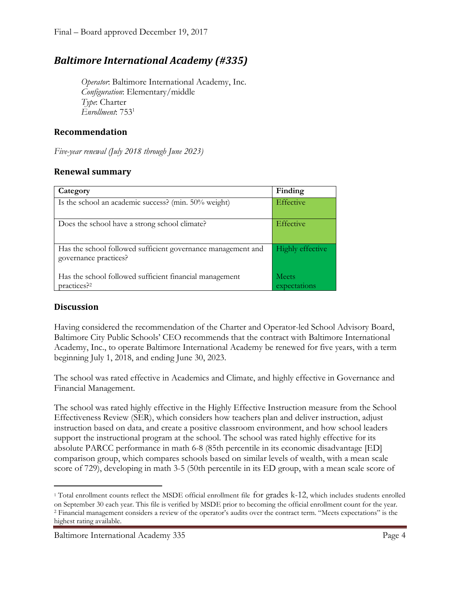### *Baltimore International Academy (#335)*

*Operator*: Baltimore International Academy, Inc. *Configuration*: Elementary/middle *Type*: Charter *Enrollment*: 753<sup>1</sup>

#### **Recommendation**

*Five-year renewal (July 2018 through June 2023)*

#### **Renewal summary**

| Category                                                                              | Finding                 |
|---------------------------------------------------------------------------------------|-------------------------|
| Is the school an academic success? (min. 50% weight)                                  | Effective               |
| Does the school have a strong school climate?                                         | Effective               |
| Has the school followed sufficient governance management and<br>governance practices? | <b>Highly effective</b> |
| Has the school followed sufficient financial management<br>practices? <sup>2</sup>    | Meets<br>expectations   |

#### **Discussion**

 $\overline{\phantom{a}}$ 

Having considered the recommendation of the Charter and Operator-led School Advisory Board, Baltimore City Public Schools' CEO recommends that the contract with Baltimore International Academy, Inc., to operate Baltimore International Academy be renewed for five years, with a term beginning July 1, 2018, and ending June 30, 2023.

The school was rated effective in Academics and Climate, and highly effective in Governance and Financial Management.

The school was rated highly effective in the Highly Effective Instruction measure from the School Effectiveness Review (SER), which considers how teachers plan and deliver instruction, adjust instruction based on data, and create a positive classroom environment, and how school leaders support the instructional program at the school. The school was rated highly effective for its absolute PARCC performance in math 6-8 (85th percentile in its economic disadvantage [ED] comparison group, which compares schools based on similar levels of wealth, with a mean scale score of 729), developing in math 3-5 (50th percentile in its ED group, with a mean scale score of

<sup>1</sup> Total enrollment counts reflect the MSDE official enrollment file for grades k-12, which includes students enrolled on September 30 each year. This file is verified by MSDE prior to becoming the official enrollment count for the year.

<sup>2</sup> Financial management considers a review of the operator's audits over the contract term. "Meets expectations" is the highest rating available.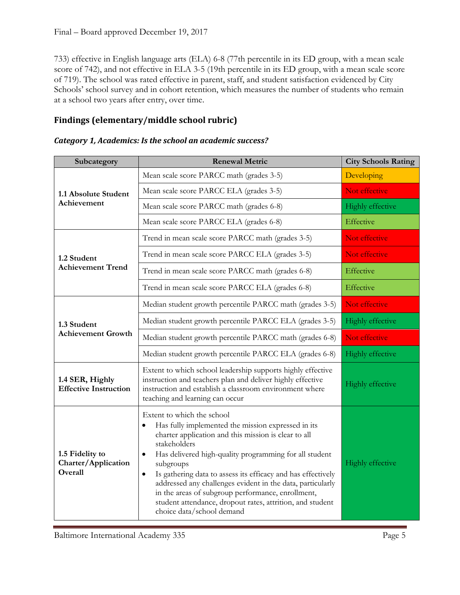733) effective in English language arts (ELA) 6-8 (77th percentile in its ED group, with a mean scale score of 742), and not effective in ELA 3-5 (19th percentile in its ED group, with a mean scale score of 719). The school was rated effective in parent, staff, and student satisfaction evidenced by City Schools' school survey and in cohort retention, which measures the number of students who remain at a school two years after entry, over time.

#### **Findings (elementary/middle school rubric)**

| Subcategory                                       | <b>Renewal Metric</b>                                                                                                                                                                                                                                                                                                                                                                                                                                                                                                                               | <b>City Schools Rating</b> |
|---------------------------------------------------|-----------------------------------------------------------------------------------------------------------------------------------------------------------------------------------------------------------------------------------------------------------------------------------------------------------------------------------------------------------------------------------------------------------------------------------------------------------------------------------------------------------------------------------------------------|----------------------------|
| 1.1 Absolute Student<br>Achievement               | Mean scale score PARCC math (grades 3-5)                                                                                                                                                                                                                                                                                                                                                                                                                                                                                                            | Developing                 |
|                                                   | Mean scale score PARCC ELA (grades 3-5)                                                                                                                                                                                                                                                                                                                                                                                                                                                                                                             | Not effective              |
|                                                   | Mean scale score PARCC math (grades 6-8)                                                                                                                                                                                                                                                                                                                                                                                                                                                                                                            | Highly effective           |
|                                                   | Mean scale score PARCC ELA (grades 6-8)                                                                                                                                                                                                                                                                                                                                                                                                                                                                                                             | Effective                  |
| 1.2 Student<br><b>Achievement Trend</b>           | Trend in mean scale score PARCC math (grades 3-5)                                                                                                                                                                                                                                                                                                                                                                                                                                                                                                   | Not effective              |
|                                                   | Trend in mean scale score PARCC ELA (grades 3-5)                                                                                                                                                                                                                                                                                                                                                                                                                                                                                                    | Not effective              |
|                                                   | Trend in mean scale score PARCC math (grades 6-8)                                                                                                                                                                                                                                                                                                                                                                                                                                                                                                   | Effective                  |
|                                                   | Trend in mean scale score PARCC ELA (grades 6-8)                                                                                                                                                                                                                                                                                                                                                                                                                                                                                                    | Effective                  |
| 1.3 Student<br><b>Achievement Growth</b>          | Median student growth percentile PARCC math (grades 3-5)                                                                                                                                                                                                                                                                                                                                                                                                                                                                                            | Not effective              |
|                                                   | Median student growth percentile PARCC ELA (grades 3-5)                                                                                                                                                                                                                                                                                                                                                                                                                                                                                             | Highly effective           |
|                                                   | Median student growth percentile PARCC math (grades 6-8)                                                                                                                                                                                                                                                                                                                                                                                                                                                                                            | Not effective              |
|                                                   | Median student growth percentile PARCC ELA (grades 6-8)                                                                                                                                                                                                                                                                                                                                                                                                                                                                                             | Highly effective           |
| 1.4 SER, Highly<br><b>Effective Instruction</b>   | Extent to which school leadership supports highly effective<br>instruction and teachers plan and deliver highly effective<br>instruction and establish a classroom environment where<br>teaching and learning can occur                                                                                                                                                                                                                                                                                                                             | Highly effective           |
| 1.5 Fidelity to<br>Charter/Application<br>Overall | Extent to which the school<br>Has fully implemented the mission expressed in its<br>$\bullet$<br>charter application and this mission is clear to all<br>stakeholders<br>Has delivered high-quality programming for all student<br>$\bullet$<br>subgroups<br>Is gathering data to assess its efficacy and has effectively<br>$\bullet$<br>addressed any challenges evident in the data, particularly<br>in the areas of subgroup performance, enrollment,<br>student attendance, dropout rates, attrition, and student<br>choice data/school demand | Highly effective           |

Baltimore International Academy 335 Page 5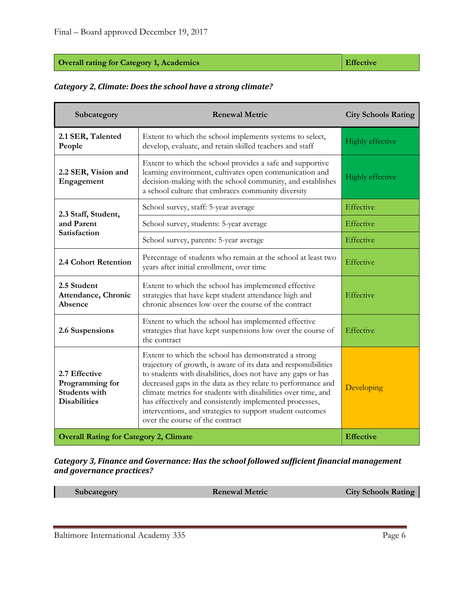#### **Overall rating for Category 1, Academics Effective**

#### *Category 2, Climate: Does the school have a strong climate?*

| Subcategory                                                                     | <b>Renewal Metric</b>                                                                                                                                                                                                                                                                                                                                                                                                                                                               | <b>City Schools Rating</b> |
|---------------------------------------------------------------------------------|-------------------------------------------------------------------------------------------------------------------------------------------------------------------------------------------------------------------------------------------------------------------------------------------------------------------------------------------------------------------------------------------------------------------------------------------------------------------------------------|----------------------------|
| 2.1 SER, Talented<br>People                                                     | Extent to which the school implements systems to select,<br>develop, evaluate, and retain skilled teachers and staff                                                                                                                                                                                                                                                                                                                                                                | <b>Highly effective</b>    |
| 2.2 SER, Vision and<br>Engagement                                               | Extent to which the school provides a safe and supportive<br>learning environment, cultivates open communication and<br>decision-making with the school community, and establishes<br>a school culture that embraces community diversity                                                                                                                                                                                                                                            | <b>Highly effective</b>    |
| 2.3 Staff, Student,<br>and Parent<br>Satisfaction                               | School survey, staff: 5-year average                                                                                                                                                                                                                                                                                                                                                                                                                                                | Effective                  |
|                                                                                 | School survey, students: 5-year average                                                                                                                                                                                                                                                                                                                                                                                                                                             | Effective                  |
|                                                                                 | School survey, parents: 5-year average                                                                                                                                                                                                                                                                                                                                                                                                                                              | Effective                  |
| 2.4 Cohort Retention                                                            | Percentage of students who remain at the school at least two<br>years after initial enrollment, over time                                                                                                                                                                                                                                                                                                                                                                           | Effective                  |
| 2.5 Student<br>Attendance, Chronic<br>Absence                                   | Extent to which the school has implemented effective<br>strategies that have kept student attendance high and<br>chronic absences low over the course of the contract                                                                                                                                                                                                                                                                                                               | Effective                  |
| 2.6 Suspensions                                                                 | Extent to which the school has implemented effective<br>strategies that have kept suspensions low over the course of<br>the contract                                                                                                                                                                                                                                                                                                                                                | Effective                  |
| 2.7 Effective<br>Programming for<br><b>Students with</b><br><b>Disabilities</b> | Extent to which the school has demonstrated a strong<br>trajectory of growth, is aware of its data and responsibilities<br>to students with disabilities, does not have any gaps or has<br>decreased gaps in the data as they relate to performance and<br>climate metrics for students with disabilities over time, and<br>has effectively and consistently implemented processes,<br>interventions, and strategies to support student outcomes<br>over the course of the contract | Developing                 |
| <b>Overall Rating for Category 2, Climate</b>                                   |                                                                                                                                                                                                                                                                                                                                                                                                                                                                                     | <b>Effective</b>           |

*Category 3, Finance and Governance: Has the school followed sufficient financial management and governance practices?*

| Subcategory | <b>Renewal Metric</b> | <b>City Schools Rating</b> |
|-------------|-----------------------|----------------------------|
|             |                       |                            |